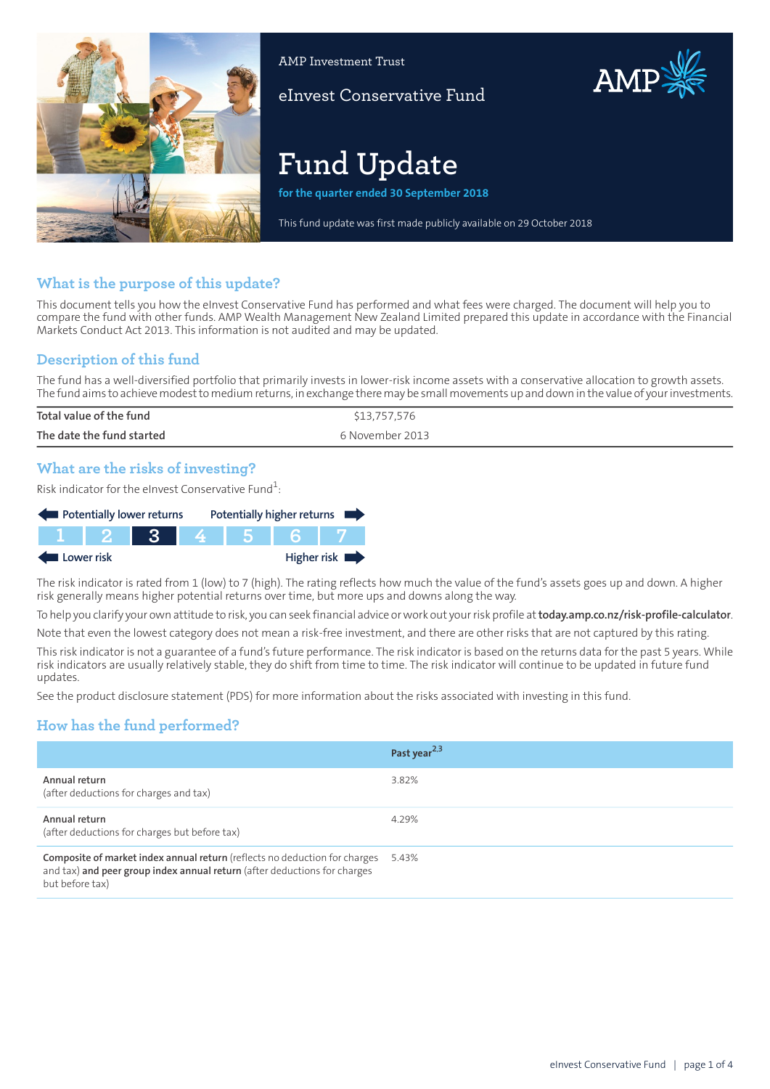

AMP Investment Trust

eInvest Conservative Fund

# **Fund Update**

**for the quarter ended 30 September 2018**

This fund update was first made publicly available on 29 October 2018

## **What is the purpose of this update?**

This document tells you how the eInvest Conservative Fund has performed and what fees were charged. The document will help you to compare the fund with other funds. AMP Wealth Management New Zealand Limited prepared this update in accordance with the Financial Markets Conduct Act 2013. This information is not audited and may be updated.

## **Description of this fund**

The fund has a well-diversified portfolio that primarily invests in lower-risk income assets with a conservative allocation to growth assets. The fund aims to achieve modest to medium returns, in exchange there may be small movements up and down in the value of your investments.

| Total value of the fund   | \$13,757,576    |
|---------------------------|-----------------|
| The date the fund started | 6 November 2013 |
|                           |                 |

## **What are the risks of investing?**

Risk indicator for the eInvest Conservative Fund $\rm ^1$ :

| Potentially lower returns |         |           | Potentially higher returns |             |
|---------------------------|---------|-----------|----------------------------|-------------|
|                           | TTT 2 I | <b>TR</b> | 4561                       |             |
| Lower risk                |         |           |                            | Higher risk |

The risk indicator is rated from 1 (low) to 7 (high). The rating reflects how much the value of the fund's assets goes up and down. A higher risk generally means higher potential returns over time, but more ups and downs along the way.

To help you clarify your own attitude to risk, you can seek financial advice orwork out yourrisk profile at**[today.amp.co.nz/risk-profile-calculator](http://today.amp.co.nz/risk-profile-calculator)**.

Note that even the lowest category does not mean a risk-free investment, and there are other risks that are not captured by this rating.

This risk indicator is not a guarantee of a fund's future performance. The risk indicator is based on the returns data for the past 5 years. While risk indicators are usually relatively stable, they do shift from time to time. The risk indicator will continue to be updated in future fund updates.

See the product disclosure statement (PDS) for more information about the risks associated with investing in this fund.

## **How has the fund performed?**

|                                                                                                                                                                            | Past year <sup>2,3</sup> |
|----------------------------------------------------------------------------------------------------------------------------------------------------------------------------|--------------------------|
| Annual return<br>(after deductions for charges and tax)                                                                                                                    | 3.82%                    |
| Annual return<br>(after deductions for charges but before tax)                                                                                                             | 4.29%                    |
| Composite of market index annual return (reflects no deduction for charges<br>and tax) and peer group index annual return (after deductions for charges<br>but before tax) | 5.43%                    |

AMP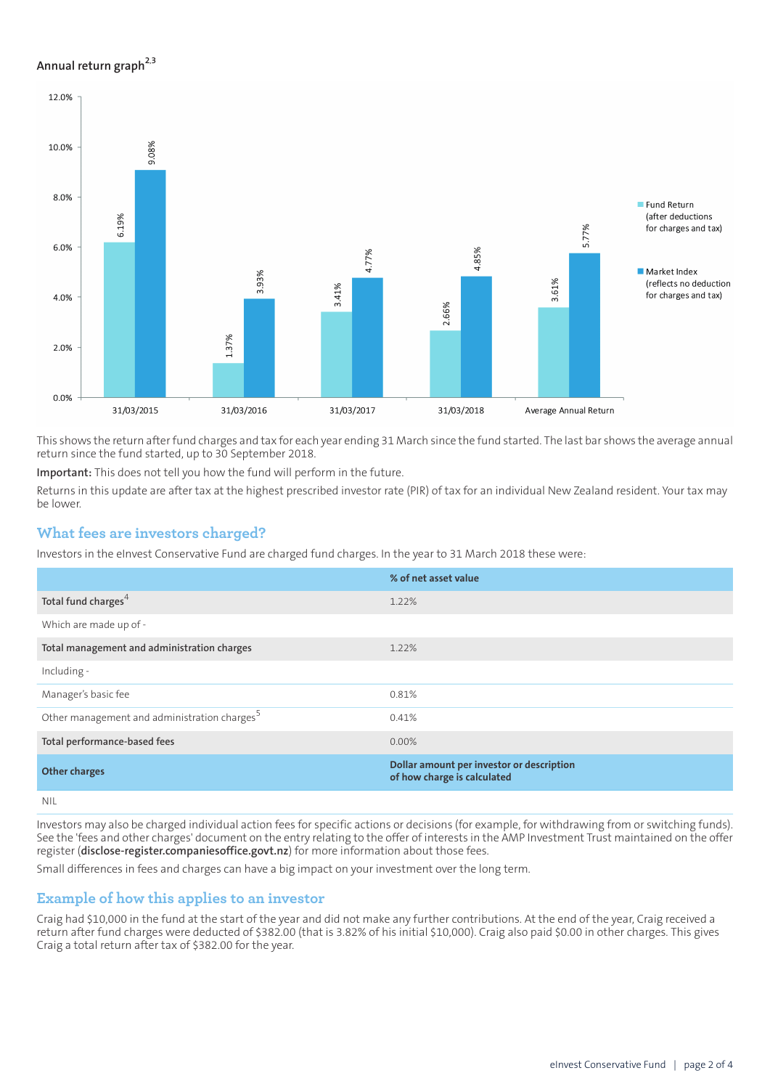#### **Annual return graph[2](#page-3-0),[3](#page-3-1)**



This shows the return afterfund charges and tax for each year ending 31 March since the fund started. The last bar shows the average annual return since the fund started, up to 30 September 2018.

**Important:** This does not tell you how the fund will perform in the future.

Returns in this update are after tax at the highest prescribed investor rate (PIR) of tax for an individual New Zealand resident. Your tax may be lower.

#### **What fees are investors charged?**

Investors in the eInvest Conservative Fund are charged fund charges. In the year to 31 March 2018 these were:

|                                                          | % of net asset value                                                     |
|----------------------------------------------------------|--------------------------------------------------------------------------|
| Total fund charges <sup>4</sup>                          | 1.22%                                                                    |
| Which are made up of -                                   |                                                                          |
| Total management and administration charges              | 1.22%                                                                    |
| Including -                                              |                                                                          |
| Manager's basic fee                                      | 0.81%                                                                    |
| Other management and administration charges <sup>5</sup> | 0.41%                                                                    |
| Total performance-based fees                             | $0.00\%$                                                                 |
| <b>Other charges</b>                                     | Dollar amount per investor or description<br>of how charge is calculated |
| <b>NIII</b>                                              |                                                                          |

NIL

Investors may also be charged individual action fees for specific actions or decisions (for example, for withdrawing from or switching funds). See the 'fees and other charges' document on the entry relating to the offer of interests in the AMP Investment Trust maintained on the offer register (**[disclose-register.companiesoffice.govt.nz](https://disclose-register.companiesoffice.govt.nz/)**) for more information about those fees.

Small differences in fees and charges can have a big impact on your investment over the long term.

#### **Example of how this applies to an investor**

Craig had \$10,000 in the fund at the start of the year and did not make any further contributions. At the end of the year, Craig received a return after fund charges were deducted of \$382.00 (that is 3.82% of his initial \$10,000). Craig also paid \$0.00 in other charges. This gives Craig a total return after tax of \$382.00 for the year.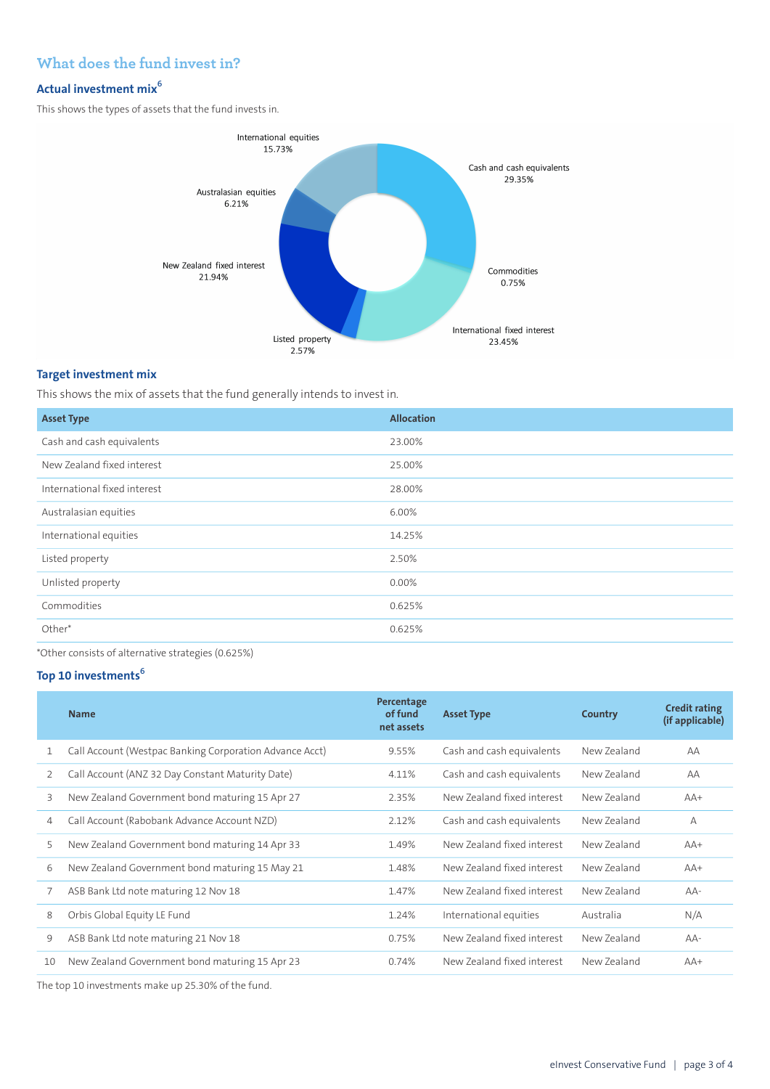## **What does the fund invest in?**

## **Actual investment mix<sup>6</sup>**

This shows the types of assets that the fund invests in.



#### **Target investment mix**

This shows the mix of assets that the fund generally intends to invest in.

| <b>Asset Type</b>            | <b>Allocation</b> |
|------------------------------|-------------------|
| Cash and cash equivalents    | 23.00%            |
| New Zealand fixed interest   | 25.00%            |
| International fixed interest | 28.00%            |
| Australasian equities        | 6.00%             |
| International equities       | 14.25%            |
| Listed property              | 2.50%             |
| Unlisted property            | 0.00%             |
| Commodities                  | 0.625%            |
| Other*                       | 0.625%            |
|                              |                   |

\*Other consists of alternative strategies (0.625%)

## **Top 10 investments<sup>6</sup>**

|    | <b>Name</b>                                             | Percentage<br>of fund<br>net assets | <b>Asset Type</b>          | Country     | <b>Credit rating</b><br>(if applicable) |
|----|---------------------------------------------------------|-------------------------------------|----------------------------|-------------|-----------------------------------------|
| 1  | Call Account (Westpac Banking Corporation Advance Acct) | 9.55%                               | Cash and cash equivalents  | New Zealand | AA                                      |
| 2  | Call Account (ANZ 32 Day Constant Maturity Date)        | 4.11%                               | Cash and cash equivalents  | New Zealand | AA                                      |
| 3  | New Zealand Government bond maturing 15 Apr 27          | 2.35%                               | New Zealand fixed interest | New Zealand | $AA+$                                   |
| 4  | Call Account (Rabobank Advance Account NZD)             | 2.12%                               | Cash and cash equivalents  | New Zealand | $\overline{A}$                          |
| 5  | New Zealand Government bond maturing 14 Apr 33          | 1.49%                               | New Zealand fixed interest | New Zealand | $AA+$                                   |
| 6  | New Zealand Government bond maturing 15 May 21          | 1.48%                               | New Zealand fixed interest | New Zealand | $AA+$                                   |
|    | ASB Bank Ltd note maturing 12 Nov 18                    | 1.47%                               | New Zealand fixed interest | New Zealand | $AA-$                                   |
| 8  | Orbis Global Equity LE Fund                             | 1.24%                               | International equities     | Australia   | N/A                                     |
| 9  | ASB Bank Ltd note maturing 21 Nov 18                    | 0.75%                               | New Zealand fixed interest | New Zealand | $AA-$                                   |
| 10 | New Zealand Government bond maturing 15 Apr 23          | 0.74%                               | New Zealand fixed interest | New Zealand | $AA+$                                   |

The top 10 investments make up 25.30% of the fund.